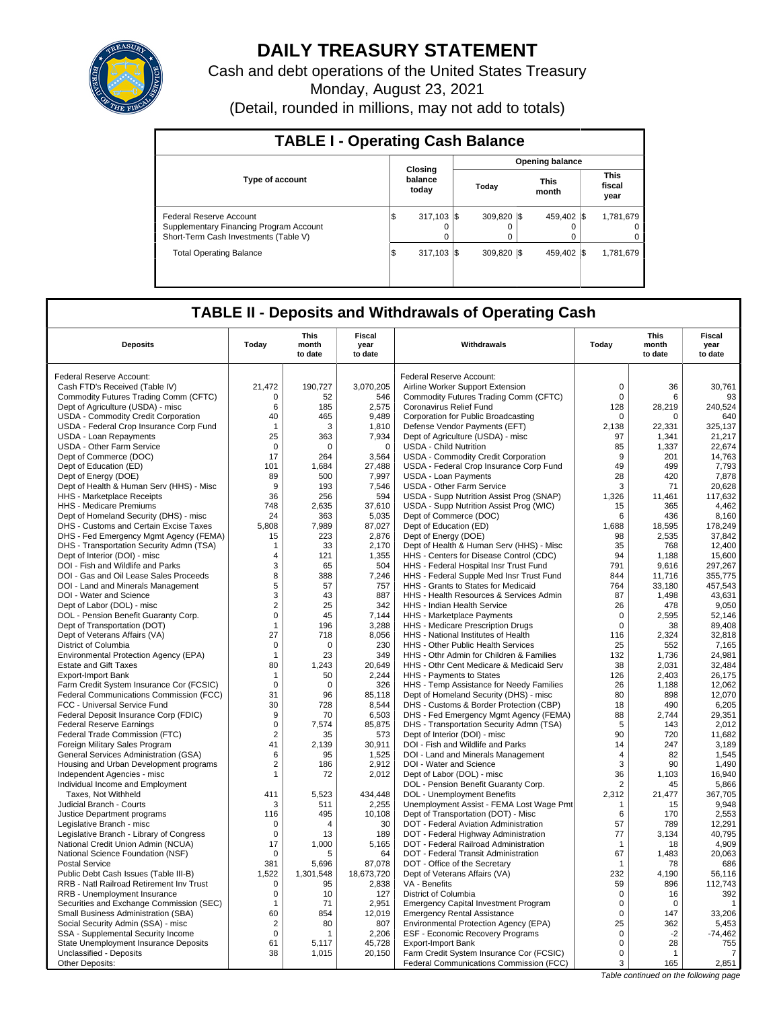

# **DAILY TREASURY STATEMENT**

Cash and debt operations of the United States Treasury Monday, August 23, 2021

(Detail, rounded in millions, may not add to totals)

| <b>TABLE I - Operating Cash Balance</b>                                                                     |                             |   |                  |  |                        |  |                               |  |  |  |  |
|-------------------------------------------------------------------------------------------------------------|-----------------------------|---|------------------|--|------------------------|--|-------------------------------|--|--|--|--|
|                                                                                                             |                             |   |                  |  | <b>Opening balance</b> |  |                               |  |  |  |  |
| <b>Type of account</b>                                                                                      | Closing<br>balance<br>today |   | Todav            |  | <b>This</b><br>month   |  | <b>This</b><br>fiscal<br>year |  |  |  |  |
| Federal Reserve Account<br>Supplementary Financing Program Account<br>Short-Term Cash Investments (Table V) | $317.103$ S<br>5            | 0 | 309.820 \\$<br>0 |  | 459.402 \\$<br>0       |  | 1,781,679<br>$\Omega$<br>0    |  |  |  |  |
| <b>Total Operating Balance</b>                                                                              | $317,103$ \$<br>1\$         |   | 309.820 \\$      |  | 459.402 \\$            |  | 1,781,679                     |  |  |  |  |

## **TABLE II - Deposits and Withdrawals of Operating Cash**

| <b>Deposits</b>                                                                | Today                         | This<br>month<br>to date | <b>Fiscal</b><br>year<br>to date | Withdrawals                                                             | Today                   | <b>This</b><br>month<br>to date | Fiscal<br>year<br>to date |
|--------------------------------------------------------------------------------|-------------------------------|--------------------------|----------------------------------|-------------------------------------------------------------------------|-------------------------|---------------------------------|---------------------------|
|                                                                                |                               |                          |                                  |                                                                         |                         |                                 |                           |
| Federal Reserve Account:                                                       |                               |                          |                                  | Federal Reserve Account:                                                |                         |                                 |                           |
| Cash FTD's Received (Table IV)                                                 | 21,472                        | 190,727                  | 3,070,205                        | Airline Worker Support Extension                                        | $\mathbf 0$             | 36                              | 30,761                    |
| Commodity Futures Trading Comm (CFTC)                                          | 0                             | 52                       | 546                              | Commodity Futures Trading Comm (CFTC)                                   | $\mathbf 0$             | 6                               | 93                        |
| Dept of Agriculture (USDA) - misc                                              | 6                             | 185                      | 2,575                            | Coronavirus Relief Fund                                                 | 128                     | 28,219                          | 240,524                   |
| USDA - Commodity Credit Corporation                                            | 40                            | 465                      | 9,489                            | Corporation for Public Broadcasting                                     | 0                       | 0                               | 640                       |
| USDA - Federal Crop Insurance Corp Fund                                        | $\mathbf{1}$                  | 3                        | 1,810                            | Defense Vendor Payments (EFT)                                           | 2,138                   | 22,331                          | 325,137                   |
| USDA - Loan Repayments                                                         | 25                            | 363                      | 7,934                            | Dept of Agriculture (USDA) - misc                                       | 97                      | 1.341                           | 21.217                    |
| <b>USDA - Other Farm Service</b>                                               | $\mathbf 0$                   | $\mathbf 0$              | $\mathbf 0$                      | <b>USDA - Child Nutrition</b>                                           | 85                      | 1,337                           | 22,674                    |
| Dept of Commerce (DOC)                                                         | 17                            | 264                      | 3,564                            | USDA - Commodity Credit Corporation                                     | 9                       | 201                             | 14,763                    |
| Dept of Education (ED)                                                         | 101                           | 1,684                    | 27,488                           | USDA - Federal Crop Insurance Corp Fund                                 | 49                      | 499                             | 7,793                     |
| Dept of Energy (DOE)                                                           | 89                            | 500                      | 7,997                            | <b>USDA - Loan Payments</b>                                             | 28                      | 420                             | 7,878                     |
| Dept of Health & Human Serv (HHS) - Misc                                       | 9                             | 193                      | 7,546                            | <b>USDA - Other Farm Service</b>                                        | 3                       | 71                              | 20,628                    |
| HHS - Marketplace Receipts                                                     | 36                            | 256                      | 594                              | USDA - Supp Nutrition Assist Prog (SNAP)                                | 1,326                   | 11,461                          | 117,632                   |
| <b>HHS - Medicare Premiums</b>                                                 | 748                           | 2.635                    | 37,610                           | USDA - Supp Nutrition Assist Prog (WIC)                                 | 15                      | 365                             | 4.462                     |
| Dept of Homeland Security (DHS) - misc                                         | 24                            | 363                      | 5,035                            | Dept of Commerce (DOC)                                                  | 6                       | 436                             | 8,160                     |
| DHS - Customs and Certain Excise Taxes                                         | 5.808                         | 7,989                    | 87,027                           | Dept of Education (ED)                                                  | 1,688                   | 18,595                          | 178.249                   |
| DHS - Fed Emergency Mgmt Agency (FEMA)                                         | 15                            | 223                      | 2,876                            | Dept of Energy (DOE)                                                    | 98                      | 2,535                           | 37,842                    |
| DHS - Transportation Security Admn (TSA)                                       | $\mathbf 1$                   | 33                       | 2.170                            | Dept of Health & Human Serv (HHS) - Misc                                | 35                      | 768                             | 12.400                    |
| Dept of Interior (DOI) - misc                                                  | 4                             | 121                      | 1,355                            | HHS - Centers for Disease Control (CDC)                                 | 94                      | 1,188                           | 15,600                    |
| DOI - Fish and Wildlife and Parks                                              | 3                             | 65                       | 504                              | HHS - Federal Hospital Insr Trust Fund                                  | 791                     | 9,616                           | 297,267                   |
| DOI - Gas and Oil Lease Sales Proceeds                                         | 8                             | 388                      | 7,246                            | HHS - Federal Supple Med Insr Trust Fund                                | 844                     | 11,716                          | 355,775                   |
| DOI - Land and Minerals Management                                             | 5                             | 57                       | 757                              | HHS - Grants to States for Medicaid                                     | 764                     | 33,180                          | 457,543                   |
| DOI - Water and Science                                                        | 3                             | 43                       | 887                              | HHS - Health Resources & Services Admin                                 | 87                      | 1,498                           | 43,631                    |
| Dept of Labor (DOL) - misc                                                     | $\overline{2}$                | 25                       | 342                              | HHS - Indian Health Service                                             | 26                      | 478                             | 9,050                     |
| DOL - Pension Benefit Guaranty Corp.                                           | $\mathsf 0$                   | 45                       | 7,144                            | HHS - Marketplace Payments                                              | $\mathbf 0$             | 2,595                           | 52,146                    |
| Dept of Transportation (DOT)                                                   | 1                             | 196                      | 3,288                            | HHS - Medicare Prescription Drugs                                       | $\mathbf 0$             | 38                              | 89,408                    |
| Dept of Veterans Affairs (VA)                                                  | 27                            | 718                      | 8,056                            | HHS - National Institutes of Health                                     | 116                     | 2,324                           | 32,818                    |
| District of Columbia                                                           | 0                             | 0                        | 230                              | <b>HHS - Other Public Health Services</b>                               | 25                      | 552                             | 7.165                     |
| Environmental Protection Agency (EPA)                                          | $\mathbf{1}$                  | 23                       | 349                              | HHS - Othr Admin for Children & Families                                | 132                     | 1,736                           | 24,981                    |
| <b>Estate and Gift Taxes</b>                                                   | 80                            | 1.243                    | 20.649                           | HHS - Othr Cent Medicare & Medicaid Serv                                | 38                      | 2.031                           | 32.484                    |
| <b>Export-Import Bank</b>                                                      | $\mathbf{1}$                  | 50                       | 2,244                            | HHS - Payments to States                                                | 126                     | 2,403                           | 26,175                    |
| Farm Credit System Insurance Cor (FCSIC)                                       | $\mathbf 0$                   | $\Omega$                 | 326                              | HHS - Temp Assistance for Needy Families                                | 26                      | 1,188                           | 12,062                    |
| Federal Communications Commission (FCC)                                        | 31                            | 96                       | 85,118                           | Dept of Homeland Security (DHS) - misc                                  | 80                      | 898                             | 12,070                    |
| FCC - Universal Service Fund                                                   | 30                            | 728                      | 8,544                            | DHS - Customs & Border Protection (CBP)                                 | 18                      | 490                             | 6,205                     |
| Federal Deposit Insurance Corp (FDIC)                                          | 9                             | 70                       | 6,503                            | DHS - Fed Emergency Mgmt Agency (FEMA)                                  | 88                      | 2,744<br>143                    | 29,351                    |
| <b>Federal Reserve Earnings</b>                                                | $\mathbf 0$<br>$\overline{2}$ | 7,574<br>35              | 85,875                           | DHS - Transportation Security Admn (TSA)                                | 5<br>90                 | 720                             | 2,012                     |
| Federal Trade Commission (FTC)                                                 | 41                            | 2.139                    | 573                              | Dept of Interior (DOI) - misc                                           | 14                      | 247                             | 11,682                    |
| Foreign Military Sales Program<br><b>General Services Administration (GSA)</b> | 6                             | 95                       | 30,911<br>1,525                  | DOI - Fish and Wildlife and Parks<br>DOI - Land and Minerals Management | $\overline{4}$          | 82                              | 3,189<br>1,545            |
| Housing and Urban Development programs                                         | $\overline{2}$                | 186                      | 2,912                            | DOI - Water and Science                                                 | 3                       | 90                              | 1,490                     |
| Independent Agencies - misc                                                    | $\mathbf{1}$                  | 72                       | 2,012                            | Dept of Labor (DOL) - misc                                              | 36                      | 1,103                           | 16,940                    |
| Individual Income and Employment                                               |                               |                          |                                  | DOL - Pension Benefit Guaranty Corp.                                    | $\overline{2}$          | 45                              | 5.866                     |
| Taxes, Not Withheld                                                            | 411                           | 5,523                    | 434,448                          | DOL - Unemployment Benefits                                             | 2,312                   | 21,477                          | 367,705                   |
| Judicial Branch - Courts                                                       | 3                             | 511                      | 2,255                            | Unemployment Assist - FEMA Lost Wage Pmt                                | 1                       | 15                              | 9,948                     |
| Justice Department programs                                                    | 116                           | 495                      | 10,108                           | Dept of Transportation (DOT) - Misc                                     | 6                       | 170                             | 2,553                     |
| Legislative Branch - misc                                                      | 0                             | $\overline{4}$           | 30                               | DOT - Federal Aviation Administration                                   | 57                      | 789                             | 12,291                    |
| Legislative Branch - Library of Congress                                       | $\mathbf 0$                   | 13                       | 189                              | DOT - Federal Highway Administration                                    | 77                      | 3,134                           | 40,795                    |
| National Credit Union Admin (NCUA)                                             | 17                            | 1,000                    | 5,165                            | DOT - Federal Railroad Administration                                   | $\overline{\mathbf{1}}$ | 18                              | 4,909                     |
| National Science Foundation (NSF)                                              | $\mathbf 0$                   | 5                        | 64                               | DOT - Federal Transit Administration                                    | 67                      | 1,483                           | 20.063                    |
| <b>Postal Service</b>                                                          | 381                           | 5,696                    | 87,078                           | DOT - Office of the Secretary                                           | $\mathbf{1}$            | 78                              | 686                       |
| Public Debt Cash Issues (Table III-B)                                          | 1.522                         | 1,301,548                | 18,673,720                       | Dept of Veterans Affairs (VA)                                           | 232                     | 4,190                           | 56,116                    |
| RRB - Natl Railroad Retirement Inv Trust                                       | $\mathbf 0$                   | 95                       | 2,838                            | VA - Benefits                                                           | 59                      | 896                             | 112,743                   |
| RRB - Unemployment Insurance                                                   | $\mathsf 0$                   | 10                       | 127                              | District of Columbia                                                    | $\mathbf 0$             | 16                              | 392                       |
| Securities and Exchange Commission (SEC)                                       | 1                             | 71                       | 2,951                            | <b>Emergency Capital Investment Program</b>                             | $\mathbf 0$             | 0                               | $\mathbf{1}$              |
| Small Business Administration (SBA)                                            | 60                            | 854                      | 12,019                           | <b>Emergency Rental Assistance</b>                                      | $\Omega$                | 147                             | 33,206                    |
| Social Security Admin (SSA) - misc                                             | $\overline{2}$                | 80                       | 807                              | Environmental Protection Agency (EPA)                                   | 25                      | 362                             | 5,453                     |
| SSA - Supplemental Security Income                                             | $\mathsf 0$                   | 1                        | 2,206                            | <b>ESF - Economic Recovery Programs</b>                                 | $\mathsf 0$             | $-2$                            | $-74,462$                 |
| State Unemployment Insurance Deposits                                          | 61                            | 5,117                    | 45,728                           | <b>Export-Import Bank</b>                                               | $\mathbf 0$             | 28                              | 755                       |
| Unclassified - Deposits                                                        | 38                            | 1,015                    | 20,150                           | Farm Credit System Insurance Cor (FCSIC)                                | $\mathbf 0$             | $\mathbf 1$                     | 7                         |
| Other Deposits:                                                                |                               |                          |                                  | Federal Communications Commission (FCC)                                 | 3                       | 165                             | 2,851                     |
|                                                                                |                               |                          |                                  |                                                                         |                         |                                 |                           |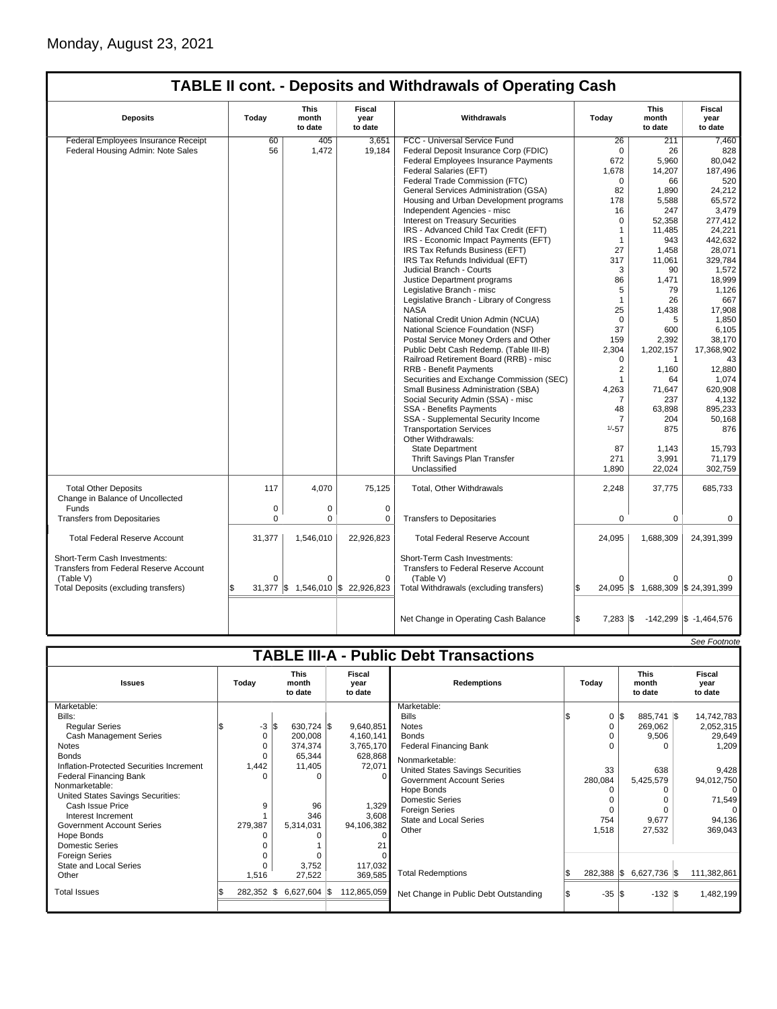|                                                                                                                             |          |                                 |                                        | <b>TABLE II cont. - Deposits and Withdrawals of Operating Cash</b>                                                           |                             |                                 |                                   |
|-----------------------------------------------------------------------------------------------------------------------------|----------|---------------------------------|----------------------------------------|------------------------------------------------------------------------------------------------------------------------------|-----------------------------|---------------------------------|-----------------------------------|
| <b>Deposits</b>                                                                                                             | Today    | <b>This</b><br>month<br>to date | <b>Fiscal</b><br>year<br>to date       | Withdrawals                                                                                                                  | Todav                       | <b>This</b><br>month<br>to date | Fiscal<br>year<br>to date         |
| Federal Employees Insurance Receipt                                                                                         | 60       | 405                             | 3.651                                  | FCC - Universal Service Fund                                                                                                 | 26                          | 211                             | 7.460                             |
| Federal Housing Admin: Note Sales                                                                                           | 56       | 1,472                           | 19,184                                 | Federal Deposit Insurance Corp (FDIC)                                                                                        | $\Omega$                    | 26                              | 828                               |
|                                                                                                                             |          |                                 |                                        | Federal Employees Insurance Payments                                                                                         | 672                         | 5,960                           | 80,042                            |
|                                                                                                                             |          |                                 |                                        | Federal Salaries (EFT)                                                                                                       | 1,678                       | 14,207                          | 187,496                           |
|                                                                                                                             |          |                                 |                                        | Federal Trade Commission (FTC)                                                                                               | 0                           | 66                              | 520                               |
|                                                                                                                             |          |                                 |                                        | General Services Administration (GSA)                                                                                        | 82                          | 1,890                           | 24,212                            |
|                                                                                                                             |          |                                 |                                        | Housing and Urban Development programs                                                                                       | 178                         | 5,588                           | 65,572                            |
|                                                                                                                             |          |                                 |                                        | Independent Agencies - misc                                                                                                  | 16                          | 247                             | 3,479                             |
|                                                                                                                             |          |                                 |                                        | <b>Interest on Treasury Securities</b>                                                                                       | $\Omega$                    |                                 | 277,412                           |
|                                                                                                                             |          |                                 |                                        |                                                                                                                              | $\mathbf{1}$                | 52,358                          |                                   |
|                                                                                                                             |          |                                 |                                        | IRS - Advanced Child Tax Credit (EFT)                                                                                        | $\mathbf{1}$                | 11,485<br>943                   | 24,221<br>442.632                 |
|                                                                                                                             |          |                                 |                                        | IRS - Economic Impact Payments (EFT)                                                                                         |                             |                                 |                                   |
|                                                                                                                             |          |                                 |                                        | IRS Tax Refunds Business (EFT)                                                                                               | 27                          | 1,458                           | 28,071                            |
|                                                                                                                             |          |                                 |                                        | IRS Tax Refunds Individual (EFT)                                                                                             | 317                         | 11,061                          | 329,784                           |
|                                                                                                                             |          |                                 |                                        | Judicial Branch - Courts                                                                                                     | 3                           | 90                              | 1,572                             |
|                                                                                                                             |          |                                 |                                        | Justice Department programs                                                                                                  | 86                          | 1,471                           | 18,999                            |
|                                                                                                                             |          |                                 |                                        | Legislative Branch - misc                                                                                                    | 5                           | 79                              | 1,126                             |
|                                                                                                                             |          |                                 |                                        | Legislative Branch - Library of Congress                                                                                     | $\mathbf{1}$                | 26                              | 667                               |
|                                                                                                                             |          |                                 |                                        | <b>NASA</b>                                                                                                                  | 25                          | 1,438                           | 17,908                            |
|                                                                                                                             |          |                                 |                                        | National Credit Union Admin (NCUA)                                                                                           | $\Omega$                    | 5                               | 1,850                             |
|                                                                                                                             |          |                                 |                                        | National Science Foundation (NSF)                                                                                            | 37                          | 600                             | 6,105                             |
|                                                                                                                             |          |                                 |                                        | Postal Service Money Orders and Other                                                                                        | 159                         | 2,392                           | 38,170                            |
|                                                                                                                             |          |                                 |                                        | Public Debt Cash Redemp. (Table III-B)                                                                                       | 2,304                       | 1,202,157                       | 17,368,902                        |
|                                                                                                                             |          |                                 |                                        | Railroad Retirement Board (RRB) - misc                                                                                       | 0                           | $\mathbf{1}$                    | 43                                |
|                                                                                                                             |          |                                 |                                        | <b>RRB - Benefit Payments</b>                                                                                                | 2                           | 1,160                           | 12,880                            |
|                                                                                                                             |          |                                 |                                        | Securities and Exchange Commission (SEC)                                                                                     | $\mathbf{1}$                | 64                              | 1,074                             |
|                                                                                                                             |          |                                 |                                        | Small Business Administration (SBA)                                                                                          | 4,263                       | 71,647                          | 620,908                           |
|                                                                                                                             |          |                                 |                                        | Social Security Admin (SSA) - misc                                                                                           | 7                           | 237                             | 4,132                             |
|                                                                                                                             |          |                                 |                                        | <b>SSA - Benefits Payments</b>                                                                                               | 48                          | 63,898                          | 895.233                           |
|                                                                                                                             |          |                                 |                                        | SSA - Supplemental Security Income                                                                                           | $\overline{7}$              | 204                             | 50,168                            |
|                                                                                                                             |          |                                 |                                        | <b>Transportation Services</b>                                                                                               | $1/-57$                     | 875                             | 876                               |
|                                                                                                                             |          |                                 |                                        | Other Withdrawals:                                                                                                           |                             |                                 |                                   |
|                                                                                                                             |          |                                 |                                        | <b>State Department</b>                                                                                                      | 87                          | 1,143                           | 15,793                            |
|                                                                                                                             |          |                                 |                                        | Thrift Savings Plan Transfer                                                                                                 | 271                         | 3,991                           | 71,179                            |
|                                                                                                                             |          |                                 |                                        | Unclassified                                                                                                                 | 1,890                       | 22,024                          | 302,759                           |
| <b>Total Other Deposits</b><br>Change in Balance of Uncollected                                                             | 117      | 4,070                           | 75,125                                 | Total, Other Withdrawals                                                                                                     | 2,248                       | 37,775                          | 685,733                           |
| Funds                                                                                                                       | 0        | $\mathbf 0$                     | 0                                      |                                                                                                                              |                             |                                 |                                   |
| <b>Transfers from Depositaries</b>                                                                                          | 0        | $\mathbf 0$                     | 0                                      | <b>Transfers to Depositaries</b>                                                                                             | 0                           | 0                               | 0                                 |
| <b>Total Federal Reserve Account</b>                                                                                        | 31,377   | 1,546,010                       | 22,926,823                             | <b>Total Federal Reserve Account</b>                                                                                         | 24,095                      | 1,688,309                       | 24,391,399                        |
| Short-Term Cash Investments:<br>Transfers from Federal Reserve Account<br>(Table V)<br>Total Deposits (excluding transfers) | $\Omega$ | $\Omega$                        | 0<br>31,377 \$ 1,546,010 \$ 22,926,823 | Short-Term Cash Investments:<br>Transfers to Federal Reserve Account<br>(Table V)<br>Total Withdrawals (excluding transfers) | n                           | $\Omega$                        | 24,095 \$ 1,688,309 \$ 24,391,399 |
|                                                                                                                             |          |                                 |                                        |                                                                                                                              |                             |                                 |                                   |
|                                                                                                                             |          |                                 |                                        | Net Change in Operating Cash Balance                                                                                         | $7,283$ $\frac{1}{3}$<br>\$ |                                 | $-142,299$ \$ $-1,464,576$        |

|                                          |              |                                 |                           |                                               |                  |                          | See Footnote              |
|------------------------------------------|--------------|---------------------------------|---------------------------|-----------------------------------------------|------------------|--------------------------|---------------------------|
|                                          |              |                                 |                           | <b>TABLE III-A - Public Debt Transactions</b> |                  |                          |                           |
| <b>Issues</b>                            | Today        | <b>This</b><br>month<br>to date | Fiscal<br>year<br>to date | <b>Redemptions</b>                            | Todav            | This<br>month<br>to date | Fiscal<br>year<br>to date |
| Marketable:                              |              |                                 |                           | Marketable:                                   |                  |                          |                           |
| Bills:                                   |              |                                 |                           | <b>Bills</b>                                  | $0 \,$ $\upbeta$ | 885,741   \$             | 14,742,783                |
| <b>Regular Series</b>                    | $-3 S $      | 630,724 \$                      | 9,640,851                 | <b>Notes</b>                                  | 0                | 269,062                  | 2,052,315                 |
| <b>Cash Management Series</b>            | 0            | 200,008                         | 4,160,141                 | <b>Bonds</b>                                  | $\Omega$         | 9,506                    | 29,649                    |
| Notes                                    |              | 374,374                         | 3,765,170                 | <b>Federal Financing Bank</b>                 | ∩                | O                        | 1,209                     |
| <b>Bonds</b>                             |              | 65,344                          | 628,868                   | Nonmarketable:                                |                  |                          |                           |
| Inflation-Protected Securities Increment | 1,442        | 11,405                          | 72,071                    | United States Savings Securities              | 33               | 638                      | 9,428                     |
| <b>Federal Financing Bank</b>            | $\Omega$     | O                               | $\Omega$                  | <b>Government Account Series</b>              | 280,084          | 5,425,579                | 94,012,750                |
| Nonmarketable:                           |              |                                 |                           | Hope Bonds                                    | ∩                | O                        | $\Omega$                  |
| United States Savings Securities:        |              |                                 |                           | <b>Domestic Series</b>                        |                  |                          | 71,549                    |
| Cash Issue Price                         | 9            | 96                              | 1,329                     | <b>Foreign Series</b>                         | 0                |                          | $\Omega$                  |
| Interest Increment                       |              | 346                             | 3,608                     | <b>State and Local Series</b>                 | 754              | 9,677                    | 94,136                    |
| <b>Government Account Series</b>         | 279,387      | 5,314,031                       | 94,106,382                | Other                                         | 1,518            | 27,532                   | 369,043                   |
| Hope Bonds                               |              |                                 | $\Omega$                  |                                               |                  |                          |                           |
| <b>Domestic Series</b>                   |              |                                 |                           |                                               |                  |                          |                           |
| <b>Foreign Series</b>                    |              |                                 |                           |                                               |                  |                          |                           |
| <b>State and Local Series</b>            |              | 3,752                           | 117,032                   | <b>Total Redemptions</b>                      | $282,388$ \\$    | 6,627,736 \$             | 111,382,861               |
| Other                                    | 1,516        | 27,522                          | 369,585                   |                                               |                  |                          |                           |
| <b>Total Issues</b>                      | $282,352$ \$ | $6,627,604$ \$                  | 112,865,059               | Net Change in Public Debt Outstanding         | $-35 S$          | $-132$ \$                | 1,482,199                 |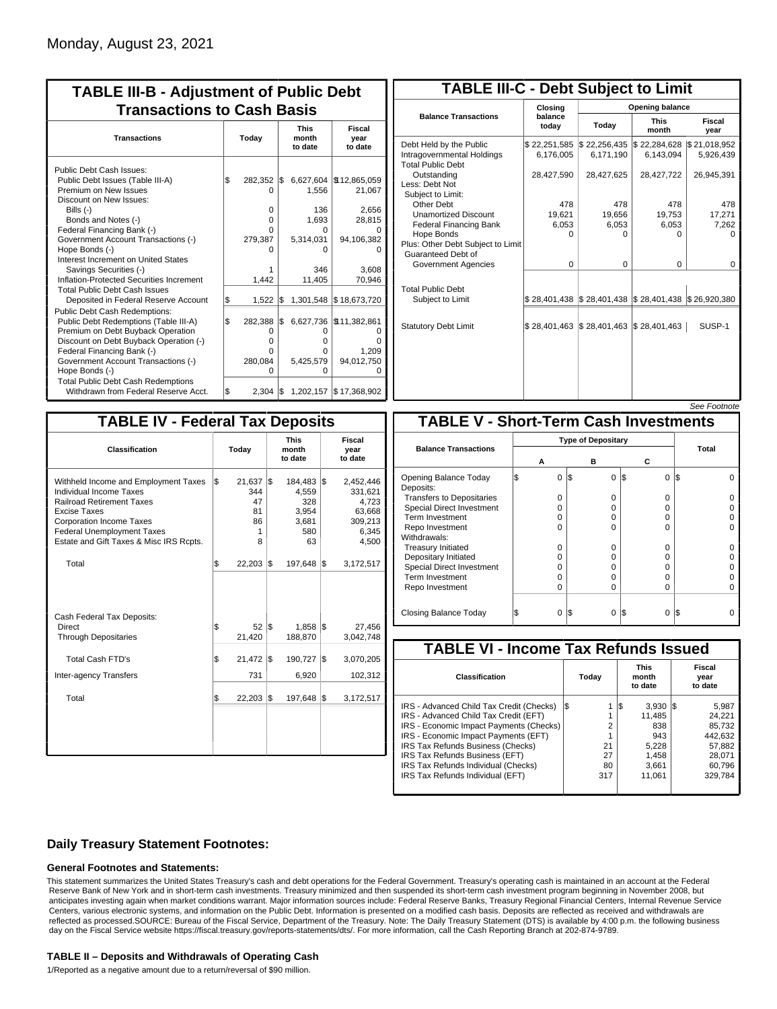| <b>TABLE III-B - Adjustment of Public Debt</b><br><b>Transactions to Cash Basis</b>                                                                                                                                                                                                                                                                                                                |     |                                                        |     |                                                                            |                                                                            |  |  |                                 |                                  |  |  |
|----------------------------------------------------------------------------------------------------------------------------------------------------------------------------------------------------------------------------------------------------------------------------------------------------------------------------------------------------------------------------------------------------|-----|--------------------------------------------------------|-----|----------------------------------------------------------------------------|----------------------------------------------------------------------------|--|--|---------------------------------|----------------------------------|--|--|
| <b>Transactions</b>                                                                                                                                                                                                                                                                                                                                                                                |     | Today                                                  |     |                                                                            |                                                                            |  |  | <b>This</b><br>month<br>to date | <b>Fiscal</b><br>year<br>to date |  |  |
| Public Debt Cash Issues:<br>Public Debt Issues (Table III-A)<br>Premium on New Issues<br>Discount on New Issues:<br>Bills $(-)$<br>Bonds and Notes (-)<br>Federal Financing Bank (-)<br>Government Account Transactions (-)<br>Hope Bonds (-)<br>Interest Increment on United States<br>Savings Securities (-)<br>Inflation-Protected Securities Increment<br><b>Total Public Debt Cash Issues</b> | \$  | 282,352<br>0<br>0<br>$\Omega$<br>0<br>279,387<br>1,442 | I\$ | 6,627,604<br>1,556<br>136<br>1,693<br>0<br>5,314,031<br>0<br>346<br>11,405 | \$12,865,059<br>21,067<br>2,656<br>28,815<br>94,106,382<br>3.608<br>70,946 |  |  |                                 |                                  |  |  |
| Deposited in Federal Reserve Account                                                                                                                                                                                                                                                                                                                                                               | S.  | 1.522                                                  | l\$ | 1,301,548                                                                  | \$18,673,720                                                               |  |  |                                 |                                  |  |  |
| <b>Public Debt Cash Redemptions:</b><br>Public Debt Redemptions (Table III-A)<br>Premium on Debt Buyback Operation<br>Discount on Debt Buyback Operation (-)<br>Federal Financing Bank (-)<br>Government Account Transactions (-)<br>Hope Bonds (-)<br><b>Total Public Debt Cash Redemptions</b>                                                                                                   | l\$ | 282,388<br>0<br>$\Omega$<br>O<br>280,084<br>O          | 1\$ | 6,627,736<br>O<br>o<br>0<br>5,425,579<br>o                                 | \$11,382,861<br>O<br>ŋ<br>1,209<br>94,012,750<br>$\Omega$                  |  |  |                                 |                                  |  |  |
| Withdrawn from Federal Reserve Acct.                                                                                                                                                                                                                                                                                                                                                               | l\$ | 2,304                                                  | 1\$ |                                                                            | 1,202,157 \$17,368,902                                                     |  |  |                                 |                                  |  |  |

| <b>TABLE III-C - Debt Subject to Limit</b>                                        |                             |                                                                                                     |                           |                           |  |  |  |  |  |  |
|-----------------------------------------------------------------------------------|-----------------------------|-----------------------------------------------------------------------------------------------------|---------------------------|---------------------------|--|--|--|--|--|--|
|                                                                                   | Closing                     |                                                                                                     | Opening balance           |                           |  |  |  |  |  |  |
| <b>Balance Transactions</b>                                                       | balance<br>todav            | Today                                                                                               | <b>This</b><br>month      | Fiscal<br>year            |  |  |  |  |  |  |
| Debt Held by the Public<br>Intragovernmental Holdings<br><b>Total Public Debt</b> | \$22,251,585<br>6,176,005   | \$22,256,435<br>6,171,190                                                                           | \$22,284,628<br>6,143,094 | \$21,018,952<br>5,926,439 |  |  |  |  |  |  |
| Outstanding<br>Less: Debt Not<br>Subject to Limit:                                | 28,427,590                  | 28,427,625                                                                                          | 28,427,722                | 26,945,391                |  |  |  |  |  |  |
| Other Debt                                                                        | 478                         | 478                                                                                                 | 478                       | 478                       |  |  |  |  |  |  |
| <b>Unamortized Discount</b>                                                       | 19,621                      | 19,656                                                                                              | 19,753                    | 17,271                    |  |  |  |  |  |  |
| <b>Federal Financing Bank</b>                                                     | 6,053                       | 6,053                                                                                               | 6,053                     | 7,262                     |  |  |  |  |  |  |
| Hope Bonds<br>Plus: Other Debt Subject to Limit<br>Guaranteed Debt of             | $\Omega$                    | O                                                                                                   | O                         | o                         |  |  |  |  |  |  |
| Government Agencies                                                               | $\Omega$                    | $\Omega$                                                                                            | 0                         | 0                         |  |  |  |  |  |  |
| <b>Total Public Debt</b><br>Subject to Limit                                      |                             | $\frac{1}{2}$ 28,401,438 $\frac{1}{2}$ 28,401,438 $\frac{1}{2}$ 28,401,438 $\frac{1}{2}$ 26,920,380 |                           |                           |  |  |  |  |  |  |
| <b>Statutory Debt Limit</b>                                                       | $$28,401,463$ $$28,401,463$ |                                                                                                     | \$28,401,463              | SUSP-1                    |  |  |  |  |  |  |
|                                                                                   |                             |                                                                                                     |                           |                           |  |  |  |  |  |  |

| See Footnote |
|--------------|
|--------------|

| <b>TABLE IV - Federal Tax Deposits</b>                                                                                                                                                                                                        |     |                                                |     |                                                           |     |                                                                      |
|-----------------------------------------------------------------------------------------------------------------------------------------------------------------------------------------------------------------------------------------------|-----|------------------------------------------------|-----|-----------------------------------------------------------|-----|----------------------------------------------------------------------|
| Classification                                                                                                                                                                                                                                |     | Today                                          |     | <b>This</b><br>month<br>to date                           |     | Fiscal<br>year<br>to date                                            |
| Withheld Income and Employment Taxes<br>Individual Income Taxes<br><b>Railroad Retirement Taxes</b><br><b>Excise Taxes</b><br><b>Corporation Income Taxes</b><br><b>Federal Unemployment Taxes</b><br>Estate and Gift Taxes & Misc IRS Rcpts. | l\$ | $21,637$ \$<br>344<br>47<br>81<br>86<br>1<br>8 |     | 184,483 \$<br>4,559<br>328<br>3,954<br>3,681<br>580<br>63 |     | 2,452,446<br>331,621<br>4,723<br>63,668<br>309,213<br>6,345<br>4,500 |
| Total                                                                                                                                                                                                                                         | \$  | $22,203$ $\sqrt{ }$                            |     | 197,648                                                   | 1\$ | 3,172,517                                                            |
| Cash Federal Tax Deposits:<br>Direct<br><b>Through Depositaries</b>                                                                                                                                                                           | \$  | 52<br>21,420                                   | l\$ | $1,858$ $\sqrt{3}$<br>188,870                             |     | 27,456<br>3,042,748                                                  |
| <b>Total Cash FTD's</b><br>Inter-agency Transfers                                                                                                                                                                                             | Ŝ.  | 21,472<br>731                                  | 1\$ | 190,727<br>6,920                                          | l\$ | 3,070,205<br>102,312                                                 |
| Total                                                                                                                                                                                                                                         | l\$ | $22,203$ \\$                                   |     | 197,648                                                   | 1\$ | 3,172,517                                                            |
|                                                                                                                                                                                                                                               |     |                                                |     |                                                           |     |                                                                      |
|                                                                                                                                                                                                                                               |     |                                                |     |                                                           |     |                                                                      |

|                                              |                           |          |     |          |         | <i><b>JEE FUULIUIE</b></i> |  |  |
|----------------------------------------------|---------------------------|----------|-----|----------|---------|----------------------------|--|--|
| <b>TABLE V - Short-Term Cash Investments</b> |                           |          |     |          |         |                            |  |  |
|                                              | <b>Type of Depositary</b> |          |     |          |         |                            |  |  |
| <b>Balance Transactions</b>                  |                           |          |     |          |         | Total                      |  |  |
|                                              |                           | А        |     | в        | С       |                            |  |  |
| Opening Balance Today<br>Deposits:           | S                         | $\Omega$ | 1\$ | 0        | S<br>0  | IS<br>U                    |  |  |
| <b>Transfers to Depositaries</b>             |                           | 0        |     | 0        | 0       |                            |  |  |
| <b>Special Direct Investment</b>             |                           | 0        |     | o        | 0       |                            |  |  |
| Term Investment                              |                           | 0        |     | 0        | 0       |                            |  |  |
| Repo Investment                              |                           | $\Omega$ |     | $\Omega$ | 0       |                            |  |  |
| Withdrawals:                                 |                           |          |     |          |         |                            |  |  |
| <b>Treasury Initiated</b>                    |                           | $\Omega$ |     | $\Omega$ | 0       |                            |  |  |
| Depositary Initiated                         |                           | 0        |     | O        | 0       |                            |  |  |
| <b>Special Direct Investment</b>             |                           | O        |     | n        | 0       |                            |  |  |
| <b>Term Investment</b>                       |                           | 0        |     | $\Omega$ | 0       |                            |  |  |
| Repo Investment                              |                           | 0        |     | $\Omega$ | 0       |                            |  |  |
|                                              |                           |          |     |          |         |                            |  |  |
| Closing Balance Today                        |                           | 0        | l\$ | 0        | 13<br>0 | IS                         |  |  |

| <b>TABLE VI - Income Tax Refunds Issued</b> |    |       |     |                                 |  |                           |  |  |  |  |  |
|---------------------------------------------|----|-------|-----|---------------------------------|--|---------------------------|--|--|--|--|--|
| Classification                              |    | Today |     | <b>This</b><br>month<br>to date |  | Fiscal<br>year<br>to date |  |  |  |  |  |
| IRS - Advanced Child Tax Credit (Checks)    | 13 |       | 1\$ | $3,930$ $\vert \$\$             |  | 5,987                     |  |  |  |  |  |
| IRS - Advanced Child Tax Credit (EFT)       |    |       |     | 11.485                          |  | 24.221                    |  |  |  |  |  |
| IRS - Economic Impact Payments (Checks)     |    | 2     |     | 838                             |  | 85.732                    |  |  |  |  |  |
| IRS - Economic Impact Payments (EFT)        |    | 1     |     | 943                             |  | 442.632                   |  |  |  |  |  |
| IRS Tax Refunds Business (Checks)           |    | 21    |     | 5.228                           |  | 57.882                    |  |  |  |  |  |
| IRS Tax Refunds Business (EFT)              |    | 27    |     | 1.458                           |  | 28.071                    |  |  |  |  |  |
| IRS Tax Refunds Individual (Checks)         |    | 80    |     | 3,661                           |  | 60,796                    |  |  |  |  |  |
| IRS Tax Refunds Individual (EFT)            |    | 317   |     | 11.061                          |  | 329,784                   |  |  |  |  |  |
|                                             |    |       |     |                                 |  |                           |  |  |  |  |  |

### **Daily Treasury Statement Footnotes:**

#### **General Footnotes and Statements:**

This statement summarizes the United States Treasury's cash and debt operations for the Federal Government. Treasury's operating cash is maintained in an account at the Federal Reserve Bank of New York and in short-term cash investments. Treasury minimized and then suspended its short-term cash investment program beginning in November 2008, but anticipates investing again when market conditions warrant. Major information sources include: Federal Reserve Banks, Treasury Regional Financial Centers, Internal Revenue Service Centers, various electronic systems, and information on the Public Debt. Information is presented on a modified cash basis. Deposits are reflected as received and withdrawals are reflected as processed.SOURCE: Bureau of the Fiscal Service, Department of the Treasury. Note: The Daily Treasury Statement (DTS) is available by 4:00 p.m. the following business day on the Fiscal Service website https://fiscal.treasury.gov/reports-statements/dts/. For more information, call the Cash Reporting Branch at 202-874-9789.

#### **TABLE II – Deposits and Withdrawals of Operating Cash**

1/Reported as a negative amount due to a return/reversal of \$90 million.